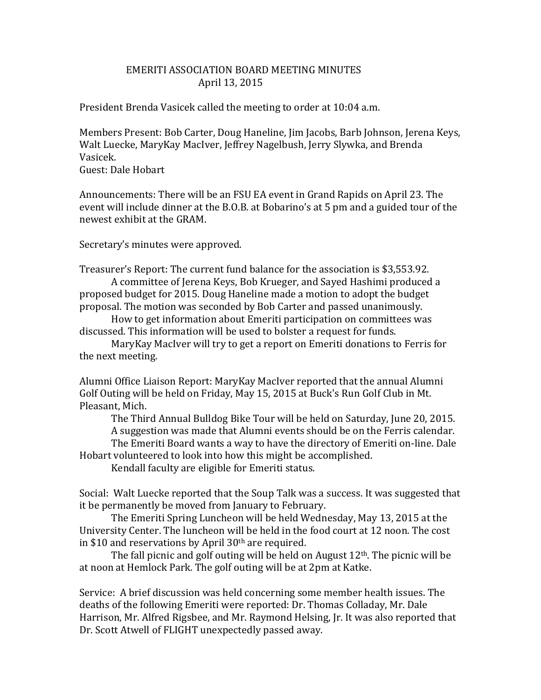## EMERITI ASSOCIATION BOARD MEETING MINUTES April 13, 2015

President Brenda Vasicek called the meeting to order at 10:04 a.m.

Members Present: Bob Carter, Doug Haneline, Jim Jacobs, Barb Johnson, Jerena Keys, Walt Luecke, MaryKay MacIver, Jeffrey Nagelbush, Jerry Slywka, and Brenda Vasicek.

Guest: Dale Hobart

Announcements: There will be an FSU EA event in Grand Rapids on April 23. The event will include dinner at the B.O.B. at Bobarino's at 5 pm and a guided tour of the newest exhibit at the GRAM.

Secretary's minutes were approved.

Treasurer's Report: The current fund balance for the association is \$3,553.92.

A committee of Jerena Keys, Bob Krueger, and Sayed Hashimi produced a proposed budget for 2015. Doug Haneline made a motion to adopt the budget proposal. The motion was seconded by Bob Carter and passed unanimously.

How to get information about Emeriti participation on committees was discussed. This information will be used to bolster a request for funds.

MaryKay MacIver will try to get a report on Emeriti donations to Ferris for the next meeting.

Alumni Office Liaison Report: MaryKay MacIver reported that the annual Alumni Golf Outing will be held on Friday, May 15, 2015 at Buck's Run Golf Club in Mt. Pleasant, Mich.

The Third Annual Bulldog Bike Tour will be held on Saturday, June 20, 2015. A suggestion was made that Alumni events should be on the Ferris calendar. The Emeriti Board wants a way to have the directory of Emeriti on-line. Dale

Hobart volunteered to look into how this might be accomplished.

Kendall faculty are eligible for Emeriti status.

Social: Walt Luecke reported that the Soup Talk was a success. It was suggested that it be permanently be moved from January to February.

The Emeriti Spring Luncheon will be held Wednesday, May 13, 2015 at the University Center. The luncheon will be held in the food court at 12 noon. The cost in \$10 and reservations by April 30th are required.

The fall picnic and golf outing will be held on August  $12<sup>th</sup>$ . The picnic will be at noon at Hemlock Park. The golf outing will be at 2pm at Katke.

Service: A brief discussion was held concerning some member health issues. The deaths of the following Emeriti were reported: Dr. Thomas Colladay, Mr. Dale Harrison, Mr. Alfred Rigsbee, and Mr. Raymond Helsing, Jr. It was also reported that Dr. Scott Atwell of FLIGHT unexpectedly passed away.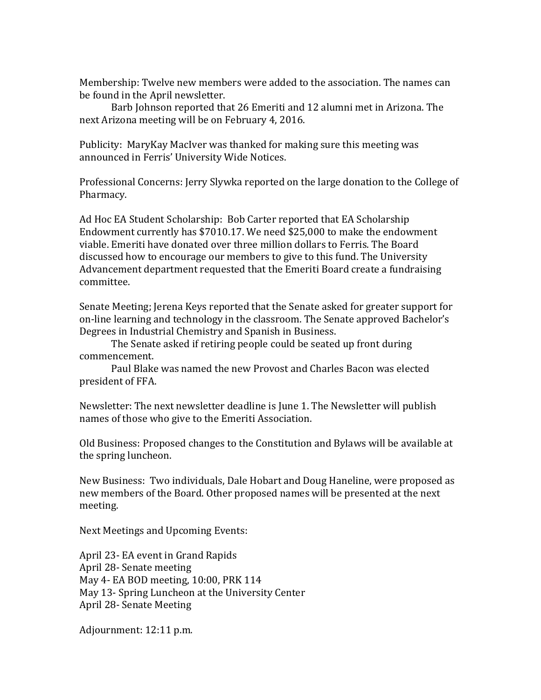Membership: Twelve new members were added to the association. The names can be found in the April newsletter.

Barb Johnson reported that 26 Emeriti and 12 alumni met in Arizona. The next Arizona meeting will be on February 4, 2016.

Publicity: MaryKay MacIver was thanked for making sure this meeting was announced in Ferris' University Wide Notices.

Professional Concerns: Jerry Slywka reported on the large donation to the College of Pharmacy.

Ad Hoc EA Student Scholarship: Bob Carter reported that EA Scholarship Endowment currently has \$7010.17. We need \$25,000 to make the endowment viable. Emeriti have donated over three million dollars to Ferris. The Board discussed how to encourage our members to give to this fund. The University Advancement department requested that the Emeriti Board create a fundraising committee.

Senate Meeting; Jerena Keys reported that the Senate asked for greater support for on-line learning and technology in the classroom. The Senate approved Bachelor's Degrees in Industrial Chemistry and Spanish in Business.

The Senate asked if retiring people could be seated up front during commencement.

Paul Blake was named the new Provost and Charles Bacon was elected president of FFA.

Newsletter: The next newsletter deadline is June 1. The Newsletter will publish names of those who give to the Emeriti Association.

Old Business: Proposed changes to the Constitution and Bylaws will be available at the spring luncheon.

New Business: Two individuals, Dale Hobart and Doug Haneline, were proposed as new members of the Board. Other proposed names will be presented at the next meeting.

Next Meetings and Upcoming Events:

April 23- EA event in Grand Rapids April 28- Senate meeting May 4- EA BOD meeting, 10:00, PRK 114 May 13- Spring Luncheon at the University Center April 28- Senate Meeting

Adjournment: 12:11 p.m.